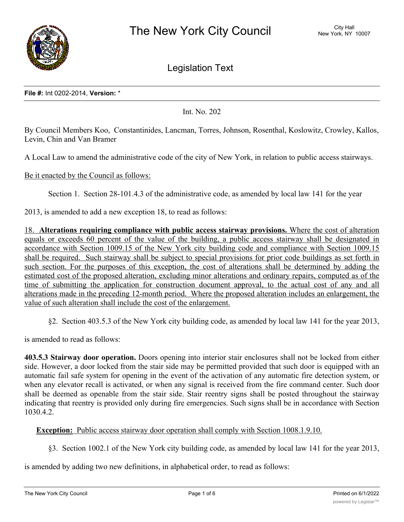

Legislation Text

## **File #:** Int 0202-2014, **Version:** \*

Int. No. 202

By Council Members Koo, Constantinides, Lancman, Torres, Johnson, Rosenthal, Koslowitz, Crowley, Kallos, Levin, Chin and Van Bramer

A Local Law to amend the administrative code of the city of New York, in relation to public access stairways.

Be it enacted by the Council as follows:

Section 1. Section 28-101.4.3 of the administrative code, as amended by local law 141 for the year

2013, is amended to add a new exception 18, to read as follows:

18. **Alterations requiring compliance with public access stairway provisions.** Where the cost of alteration equals or exceeds 60 percent of the value of the building, a public access stairway shall be designated in accordance with Section 1009.15 of the New York city building code and compliance with Section 1009.15 shall be required. Such stairway shall be subject to special provisions for prior code buildings as set forth in such section. For the purposes of this exception, the cost of alterations shall be determined by adding the estimated cost of the proposed alteration, excluding minor alterations and ordinary repairs, computed as of the time of submitting the application for construction document approval, to the actual cost of any and all alterations made in the preceding 12-month period. Where the proposed alteration includes an enlargement, the value of such alteration shall include the cost of the enlargement.

§2. Section 403.5.3 of the New York city building code, as amended by local law 141 for the year 2013,

is amended to read as follows:

**403.5.3 Stairway door operation.** Doors opening into interior stair enclosures shall not be locked from either side. However, a door locked from the stair side may be permitted provided that such door is equipped with an automatic fail safe system for opening in the event of the activation of any automatic fire detection system, or when any elevator recall is activated, or when any signal is received from the fire command center. Such door shall be deemed as openable from the stair side. Stair reentry signs shall be posted throughout the stairway indicating that reentry is provided only during fire emergencies. Such signs shall be in accordance with Section 1030.4.2.

**Exception:** Public access stairway door operation shall comply with Section 1008.1.9.10.

§3. Section 1002.1 of the New York city building code, as amended by local law 141 for the year 2013,

is amended by adding two new definitions, in alphabetical order, to read as follows: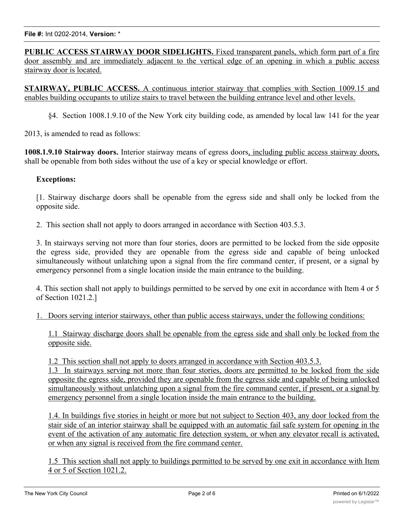**PUBLIC ACCESS STAIRWAY DOOR SIDELIGHTS.** Fixed transparent panels, which form part of a fire door assembly and are immediately adjacent to the vertical edge of an opening in which a public access stairway door is located.

**STAIRWAY, PUBLIC ACCESS.** A continuous interior stairway that complies with Section 1009.15 and enables building occupants to utilize stairs to travel between the building entrance level and other levels.

§4. Section 1008.1.9.10 of the New York city building code, as amended by local law 141 for the year

2013, is amended to read as follows:

**1008.1.9.10 Stairway doors.** Interior stairway means of egress doors, including public access stairway doors, shall be openable from both sides without the use of a key or special knowledge or effort.

## **Exceptions:**

[1. Stairway discharge doors shall be openable from the egress side and shall only be locked from the opposite side.

2. This section shall not apply to doors arranged in accordance with Section 403.5.3.

3. In stairways serving not more than four stories, doors are permitted to be locked from the side opposite the egress side, provided they are openable from the egress side and capable of being unlocked simultaneously without unlatching upon a signal from the fire command center, if present, or a signal by emergency personnel from a single location inside the main entrance to the building.

4. This section shall not apply to buildings permitted to be served by one exit in accordance with Item 4 or 5 of Section 1021.2.]

1. Doors serving interior stairways, other than public access stairways, under the following conditions:

1.1 Stairway discharge doors shall be openable from the egress side and shall only be locked from the opposite side.

1.2 This section shall not apply to doors arranged in accordance with Section 403.5.3.

1.3 In stairways serving not more than four stories, doors are permitted to be locked from the side opposite the egress side, provided they are openable from the egress side and capable of being unlocked simultaneously without unlatching upon a signal from the fire command center, if present, or a signal by emergency personnel from a single location inside the main entrance to the building.

1.4. In buildings five stories in height or more but not subject to Section 403, any door locked from the stair side of an interior stairway shall be equipped with an automatic fail safe system for opening in the event of the activation of any automatic fire detection system, or when any elevator recall is activated, or when any signal is received from the fire command center.

1.5 This section shall not apply to buildings permitted to be served by one exit in accordance with Item 4 or 5 of Section 1021.2.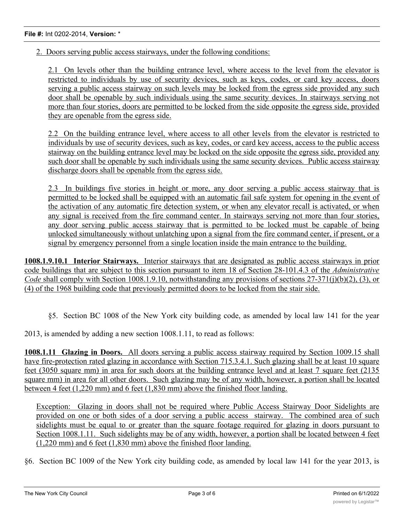2. Doors serving public access stairways, under the following conditions:

2.1 On levels other than the building entrance level, where access to the level from the elevator is restricted to individuals by use of security devices, such as keys, codes, or card key access, doors serving a public access stairway on such levels may be locked from the egress side provided any such door shall be openable by such individuals using the same security devices. In stairways serving not more than four stories, doors are permitted to be locked from the side opposite the egress side, provided they are openable from the egress side.

2.2 On the building entrance level, where access to all other levels from the elevator is restricted to individuals by use of security devices, such as key, codes, or card key access, access to the public access stairway on the building entrance level may be locked on the side opposite the egress side, provided any such door shall be openable by such individuals using the same security devices. Public access stairway discharge doors shall be openable from the egress side.

2.3 In buildings five stories in height or more, any door serving a public access stairway that is permitted to be locked shall be equipped with an automatic fail safe system for opening in the event of the activation of any automatic fire detection system, or when any elevator recall is activated, or when any signal is received from the fire command center. In stairways serving not more than four stories, any door serving public access stairway that is permitted to be locked must be capable of being unlocked simultaneously without unlatching upon a signal from the fire command center, if present, or a signal by emergency personnel from a single location inside the main entrance to the building.

**1008.1.9.10.1 Interior Stairways.** Interior stairways that are designated as public access stairways in prior code buildings that are subject to this section pursuant to item 18 of Section 28-101.4.3 of the *Administrative Code* shall comply with Section 1008.1.9.10, notwithstanding any provisions of sections 27-371(j)(b)(2), (3), or (4) of the 1968 building code that previously permitted doors to be locked from the stair side.

§5. Section BC 1008 of the New York city building code, as amended by local law 141 for the year

2013, is amended by adding a new section 1008.1.11, to read as follows:

**1008.1.11 Glazing in Doors.** All doors serving a public access stairway required by Section 1009.15 shall have fire-protection rated glazing in accordance with Section 715.3.4.1. Such glazing shall be at least 10 square feet (3050 square mm) in area for such doors at the building entrance level and at least 7 square feet (2135 square mm) in area for all other doors. Such glazing may be of any width, however, a portion shall be located between 4 feet (1,220 mm) and 6 feet (1,830 mm) above the finished floor landing.

Exception: Glazing in doors shall not be required where Public Access Stairway Door Sidelights are provided on one or both sides of a door serving a public access stairway. The combined area of such sidelights must be equal to or greater than the square footage required for glazing in doors pursuant to Section 1008.1.11. Such sidelights may be of any width, however, a portion shall be located between 4 feet (1,220 mm) and 6 feet (1,830 mm) above the finished floor landing.

§6. Section BC 1009 of the New York city building code, as amended by local law 141 for the year 2013, is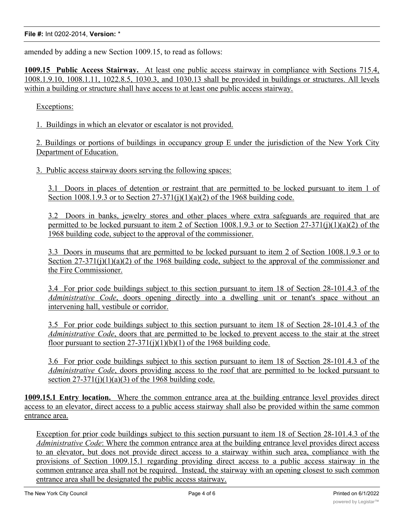amended by adding a new Section 1009.15, to read as follows:

**1009.15 Public Access Stairway.** At least one public access stairway in compliance with Sections 715.4, 1008.1.9.10, 1008.1.11, 1022.8.5, 1030.3, and 1030.13 shall be provided in buildings or structures. All levels within a building or structure shall have access to at least one public access stairway.

Exceptions:

1. Buildings in which an elevator or escalator is not provided.

2. Buildings or portions of buildings in occupancy group E under the jurisdiction of the New York City Department of Education.

3. Public access stairway doors serving the following spaces:

3.1 Doors in places of detention or restraint that are permitted to be locked pursuant to item 1 of Section 1008.1.9.3 or to Section  $27-371(j)(1)(a)(2)$  of the 1968 building code.

3.2 Doors in banks, jewelry stores and other places where extra safeguards are required that are permitted to be locked pursuant to item 2 of Section 1008.1.9.3 or to Section 27-371(j)(1)(a)(2) of the 1968 building code, subject to the approval of the commissioner.

3.3 Doors in museums that are permitted to be locked pursuant to item 2 of Section 1008.1.9.3 or to Section  $27-371(j)(1)(a)(2)$  of the 1968 building code, subject to the approval of the commissioner and the Fire Commissioner.

3.4 For prior code buildings subject to this section pursuant to item 18 of Section 28-101.4.3 of the *Administrative Code*, doors opening directly into a dwelling unit or tenant's space without an intervening hall, vestibule or corridor.

3.5 For prior code buildings subject to this section pursuant to item 18 of Section 28-101.4.3 of the *Administrative Code*, doors that are permitted to be locked to prevent access to the stair at the street floor pursuant to section  $27-371(i)(1)(b)(1)$  of the 1968 building code.

3.6 For prior code buildings subject to this section pursuant to item 18 of Section 28-101.4.3 of the *Administrative Code*, doors providing access to the roof that are permitted to be locked pursuant to section  $27-371(i)(1)(a)(3)$  of the 1968 building code.

**1009.15.1 Entry location.** Where the common entrance area at the building entrance level provides direct access to an elevator, direct access to a public access stairway shall also be provided within the same common entrance area.

Exception for prior code buildings subject to this section pursuant to item 18 of Section 28-101.4.3 of the *Administrative Code*: Where the common entrance area at the building entrance level provides direct access to an elevator, but does not provide direct access to a stairway within such area, compliance with the provisions of Section 1009.15.1 regarding providing direct access to a public access stairway in the common entrance area shall not be required. Instead, the stairway with an opening closest to such common entrance area shall be designated the public access stairway.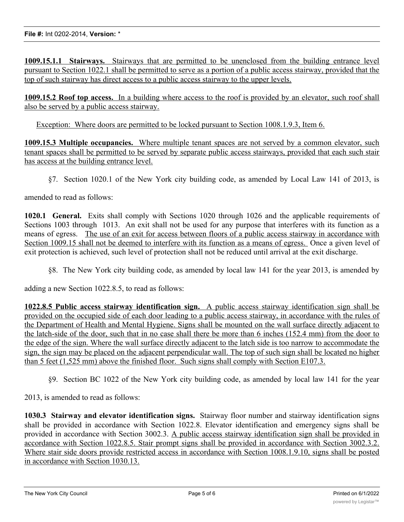**1009.15.1.1 Stairways.** Stairways that are permitted to be unenclosed from the building entrance level pursuant to Section 1022.1 shall be permitted to serve as a portion of a public access stairway, provided that the top of such stairway has direct access to a public access stairway to the upper levels.

**1009.15.2 Roof top access.** In a building where access to the roof is provided by an elevator, such roof shall also be served by a public access stairway.

Exception: Where doors are permitted to be locked pursuant to Section 1008.1.9.3, Item 6.

**1009.15.3 Multiple occupancies.** Where multiple tenant spaces are not served by a common elevator, such tenant spaces shall be permitted to be served by separate public access stairways, provided that each such stair has access at the building entrance level.

§7. Section 1020.1 of the New York city building code, as amended by Local Law 141 of 2013, is

amended to read as follows:

**1020.1 General.** Exits shall comply with Sections 1020 through 1026 and the applicable requirements of Sections 1003 through 1013. An exit shall not be used for any purpose that interferes with its function as a means of egress. The use of an exit for access between floors of a public access stairway in accordance with Section 1009.15 shall not be deemed to interfere with its function as a means of egress. Once a given level of exit protection is achieved, such level of protection shall not be reduced until arrival at the exit discharge.

§8. The New York city building code, as amended by local law 141 for the year 2013, is amended by

adding a new Section 1022.8.5, to read as follows:

**1022.8.5 Public access stairway identification sign.** A public access stairway identification sign shall be provided on the occupied side of each door leading to a public access stairway, in accordance with the rules of the Department of Health and Mental Hygiene. Signs shall be mounted on the wall surface directly adjacent to the latch-side of the door, such that in no case shall there be more than 6 inches (152.4 mm) from the door to the edge of the sign. Where the wall surface directly adjacent to the latch side is too narrow to accommodate the sign, the sign may be placed on the adjacent perpendicular wall. The top of such sign shall be located no higher than 5 feet (1,525 mm) above the finished floor. Such signs shall comply with Section E107.3.

§9. Section BC 1022 of the New York city building code, as amended by local law 141 for the year

2013, is amended to read as follows:

**1030.3 Stairway and elevator identification signs.** Stairway floor number and stairway identification signs shall be provided in accordance with Section 1022.8. Elevator identification and emergency signs shall be provided in accordance with Section 3002.3. A public access stairway identification sign shall be provided in accordance with Section 1022.8.5. Stair prompt signs shall be provided in accordance with Section 3002.3.2. Where stair side doors provide restricted access in accordance with Section 1008.1.9.10, signs shall be posted in accordance with Section 1030.13.